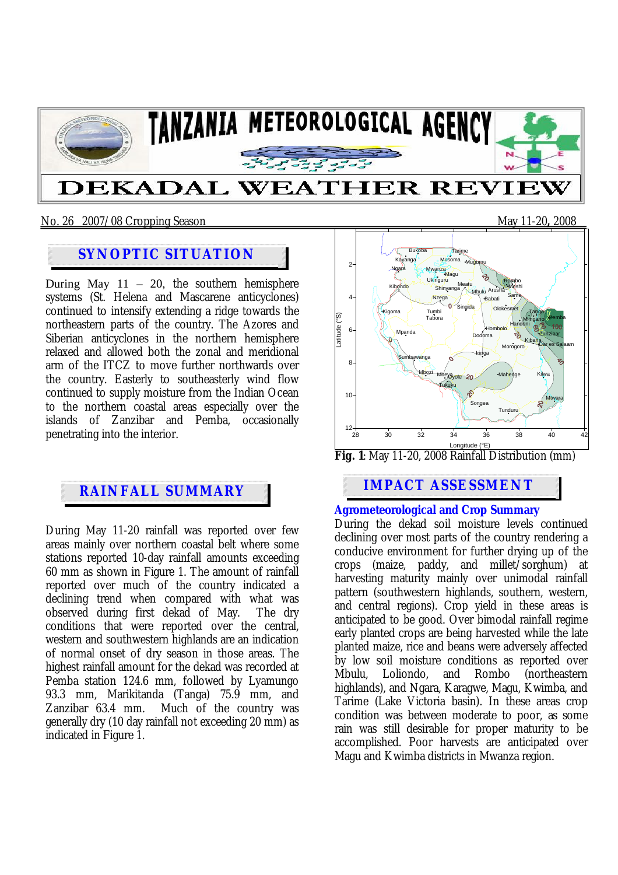

### No. 26 2007/08 Cropping Season May 11-20**,** 2008

## **SYNOPTIC SITUATION**

During May  $11 - 20$ , the southern hemisphere systems (St. Helena and Mascarene anticyclones) continued to intensify extending a ridge towards the northeastern parts of the country. The Azores and Siberian anticyclones in the northern hemisphere relaxed and allowed both the zonal and meridional arm of the ITCZ to move further northwards over the country. Easterly to southeasterly wind flow continued to supply moisture from the Indian Ocean to the northern coastal areas especially over the islands of Zanzibar and Pemba, occasionally penetrating into the interior.

During May 11-20 rainfall was reported over few areas mainly over northern coastal belt where some stations reported 10-day rainfall amounts exceeding 60 mm as shown in Figure 1. The amount of rainfall reported over much of the country indicated a declining trend when compared with what was observed during first dekad of May. The dry conditions that were reported over the central, western and southwestern highlands are an indication of normal onset of dry season in those areas. The highest rainfall amount for the dekad was recorded at Pemba station 124.6 mm, followed by Lyamungo 93.3 mm, Marikitanda (Tanga) 75.9 mm, and Much of the country was generally dry (10 day rainfall not exceeding 20 mm) as indicated in Figure 1.





# **IMPACT ASSESSMENT**

#### **Agrometeorological and Crop Summary**

During the dekad soil moisture levels continued declining over most parts of the country rendering a conducive environment for further drying up of the crops (maize, paddy, and millet/sorghum) at harvesting maturity mainly over unimodal rainfall pattern (southwestern highlands, southern, western, and central regions). Crop yield in these areas is anticipated to be good. Over bimodal rainfall regime early planted crops are being harvested while the late planted maize, rice and beans were adversely affected by low soil moisture conditions as reported over Mbulu, Loliondo, and Rombo (northeastern highlands), and Ngara, Karagwe, Magu, Kwimba, and Tarime (Lake Victoria basin). In these areas crop condition was between moderate to poor, as some rain was still desirable for proper maturity to be accomplished. Poor harvests are anticipated over Magu and Kwimba districts in Mwanza region.